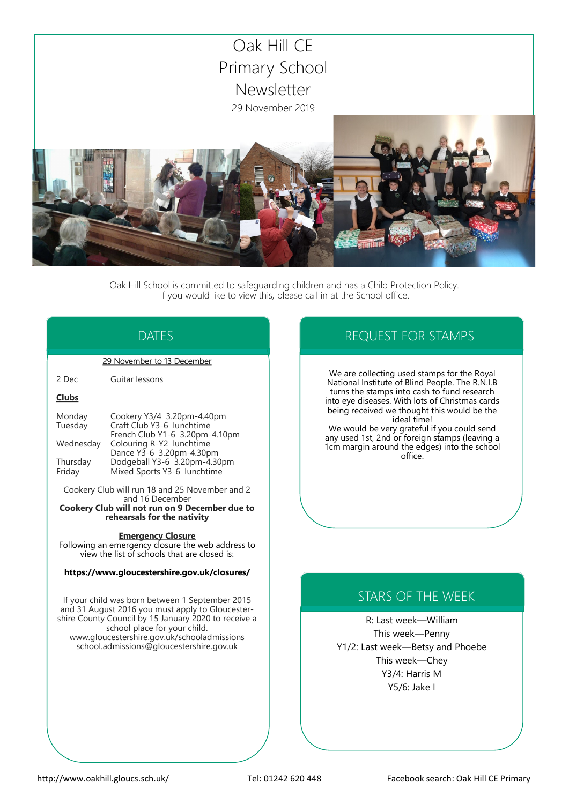

Oak Hill School is committed to safeguarding children and has a Child Protection Policy. If you would like to view this, please call in at the School office.

## DATES

#### 29 November to 13 December

2 Dec Guitar lessons

#### **Clubs**

| Monday    | Cookery Y3/4 3.20pm-4.40pm     |
|-----------|--------------------------------|
| Tuesday   | Craft Club Y3-6 lunchtime      |
|           | French Club Y1-6 3.20pm-4.10pm |
| Wednesday | Colouring R-Y2 lunchtime       |
|           | Dance Y3-6 3.20pm-4.30pm       |
| Thursday  | Dodgeball Y3-6 3.20pm-4.30pm   |
| Friday    | Mixed Sports Y3-6 lunchtime    |

Cookery Club will run 18 and 25 November and 2 and 16 December

**Cookery Club will not run on 9 December due to rehearsals for the nativity**

#### **Emergency Closure**

Following an emergency closure the web address to view the list of schools that are closed is:

#### **https://www.gloucestershire.gov.uk/closures/**

If your child was born between 1 September 2015 and 31 August 2016 you must apply to Gloucestershire County Council by 15 January 2020 to receive a school place for your child. www.gloucestershire.gov.uk/schooladmissions school.admissions@gloucestershire.gov.uk

### REQUEST FOR STAMPS

We are collecting used stamps for the Royal National Institute of Blind People. The R.N.I.B turns the stamps into cash to fund research into eye diseases. With lots of Christmas cards being received we thought this would be the ideal time!

We would be very grateful if you could send any used 1st, 2nd or foreign stamps (leaving a 1cm margin around the edges) into the school office.

# STARS OF THE WEEK

R: Last week—William This week—Penny Y1/2: Last week—Betsy and Phoebe This week—Chey Y3/4: Harris M Y5/6: Jake I